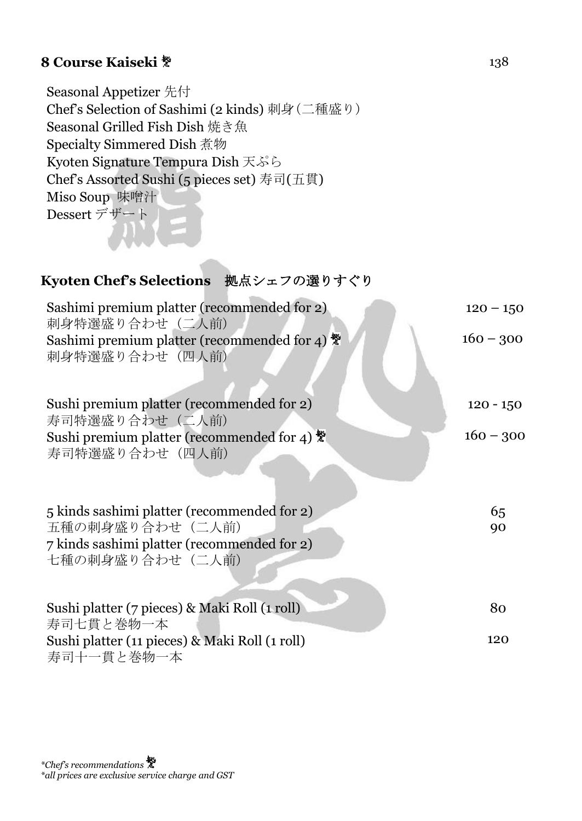## **8 Course Kaiseki**  $*$  138

Seasonal Appetizer 先付 Chef's Selection of Sashimi (2 kinds) 刺身(二種盛り) Seasonal Grilled Fish Dish 焼き魚 Specialty Simmered Dish 煮物 Kyoten Signature Tempura Dish 天ぷら Chef's Assorted Sushi (5 pieces set) 寿司(五貫) Miso Soup 味噌汁 Dessert デザート

#### **Kyoten Chef's Selections** 拠点シェフの選りすぐり

| Sashimi premium platter (recommended for 2)<br>刺身特選盛り合わせ(二人前)                          | $120 - 150$ |
|----------------------------------------------------------------------------------------|-------------|
| Sashimi premium platter (recommended for 4) $\ddot{\ddot{\ell}}$<br>刺身特選盛り合わせ(四人前)     | $160 - 300$ |
| Sushi premium platter (recommended for 2)<br>寿司特選盛り合わせ(二人前)                            | $120 - 150$ |
| Sushi premium platter (recommended for 4) $\ddot{\ddot{\mathbf{x}}}$<br>寿司特選盛り合わせ(四人前) | $160 - 300$ |
| 5 kinds sashimi platter (recommended for 2)                                            | 65          |
| 五種の刺身盛り合わせ (二人前)                                                                       | 90          |
| 7 kinds sashimi platter (recommended for 2)                                            |             |
| 七種の刺身盛り合わせ(二人前)                                                                        |             |
| Sushi platter (7 pieces) & Maki Roll (1 roll)<br>寿司七貫と巻物一本                             | 80          |
| Sushi platter (11 pieces) & Maki Roll (1 roll)<br>寿司十一貫と巻物一本                           | 120         |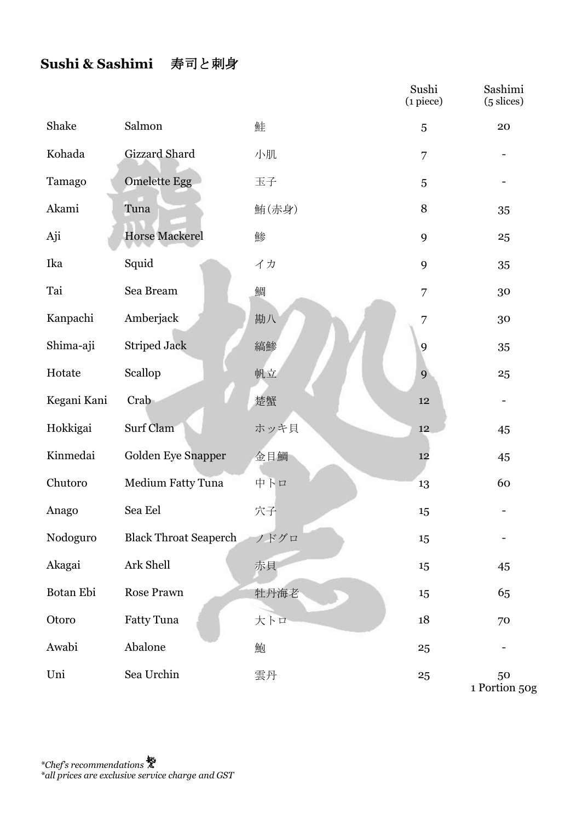### **Sushi & Sashimi** 寿司と刺身

|             |                              |       | Sushi<br>$(i$ piece) | Sashimi<br>$(5 \text{ slices})$ |
|-------------|------------------------------|-------|----------------------|---------------------------------|
| Shake       | Salmon                       | 鮭     | 5                    | 20                              |
| Kohada      | Gizzard Shard                | 小肌    | 7                    |                                 |
| Tamago      | <b>Omelette Egg</b>          | 玉子    | 5                    |                                 |
| Akami       | Tuna                         | 鮪(赤身) | 8                    | 35                              |
| Aji         | <b>Horse Mackerel</b>        | 鯵     | 9                    | 25                              |
| Ika         | Squid                        | イカ    | 9                    | 35                              |
| Tai         | Sea Bream                    | 鯛     | 7                    | 30                              |
| Kanpachi    | Amberjack                    | 勘八    | 7                    | 30                              |
| Shima-aji   | <b>Striped Jack</b>          | 縞鯵    | 9                    | 35                              |
| Hotate      | Scallop                      | 帆立    | 9                    | 25                              |
| Kegani Kani | Crab                         | 楚蟹    | 12                   | $\overline{\phantom{a}}$        |
| Hokkigai    | Surf Clam                    | ホッキ貝  | 12                   | 45                              |
| Kinmedai    | Golden Eye Snapper           | 金目鯛   | 12                   | 45                              |
| Chutoro     | Medium Fatty Tuna            | 中トロ   | 13                   | 60                              |
| Anago       | Sea Eel                      | 穴子    | 15                   |                                 |
| Nodoguro    | <b>Black Throat Seaperch</b> | ノドグロ  | 15                   |                                 |
| Akagai      | Ark Shell                    | 赤貝    | 15                   | 45                              |
| Botan Ebi   | Rose Prawn                   | 牡丹海老  | 15                   | 65                              |
| Otoro       | Fatty Tuna                   | 大トロ   | 18                   | 70                              |
| Awabi       | Abalone                      | 鮑     | 25                   |                                 |
| Uni         | Sea Urchin                   | 雲丹    | 25                   | 50<br>1 Portion 50g             |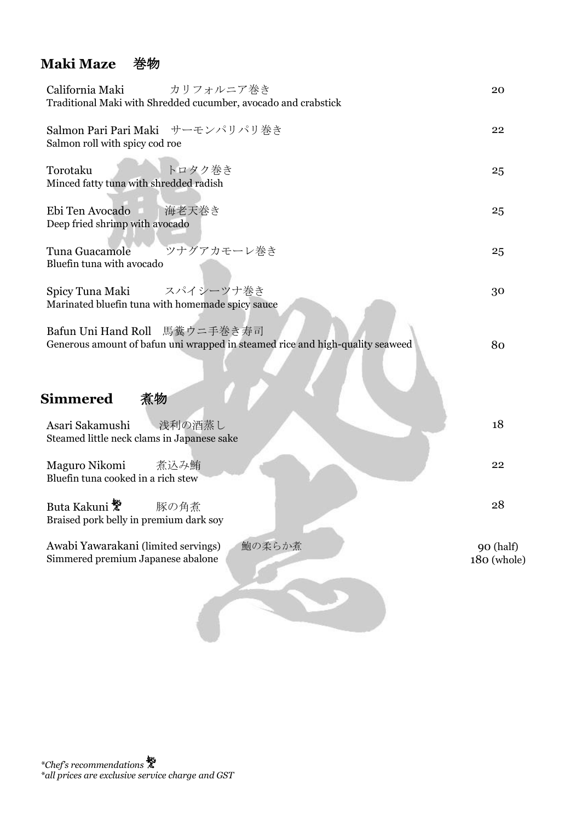### **Maki Maze** 巻物

| California Maki<br>カリフォルニア巻き<br>Traditional Maki with Shredded cucumber, avocado and crabstick                                       | 20                       |
|--------------------------------------------------------------------------------------------------------------------------------------|--------------------------|
| Salmon Pari Pari Maki サーモンパリパリ巻き<br>Salmon roll with spicy cod roe                                                                   | 22                       |
| トロタク巻き<br>Torotaku<br>Minced fatty tuna with shredded radish                                                                         | 25                       |
| Ebi Ten Avocado<br>海老天巻き<br>Deep fried shrimp with avocado                                                                           | 25                       |
| ツナグアカモーレ巻き<br>Tuna Guacamole<br>Bluefin tuna with avocado                                                                            | 25                       |
| スパイシーツナ巻き<br>Spicy Tuna Maki<br>Marinated bluefin tuna with homemade spicy sauce                                                     | 30                       |
| 馬糞ウニ手巻き寿司<br>Bafun Uni Hand Roll<br>Generous amount of bafun uni wrapped in steamed rice and high-quality seaweed<br><b>Simmered</b> | 80                       |
| 煮物<br>Asari Sakamushi<br>浅利の酒蒸し                                                                                                      | 18                       |
| Steamed little neck clams in Japanese sake                                                                                           |                          |
| Maguro Nikomi<br>煮込み鮪<br>Bluefin tuna cooked in a rich stew                                                                          | 22                       |
| Buta Kakuni <sup>赞</sup><br>豚の角煮<br>Braised pork belly in premium dark soy                                                           | 28                       |
| Awabi Yawarakani (limited servings)<br>鮑の柔らか煮<br>Simmered premium Japanese abalone                                                   | 90 (half)<br>180 (whole) |
|                                                                                                                                      |                          |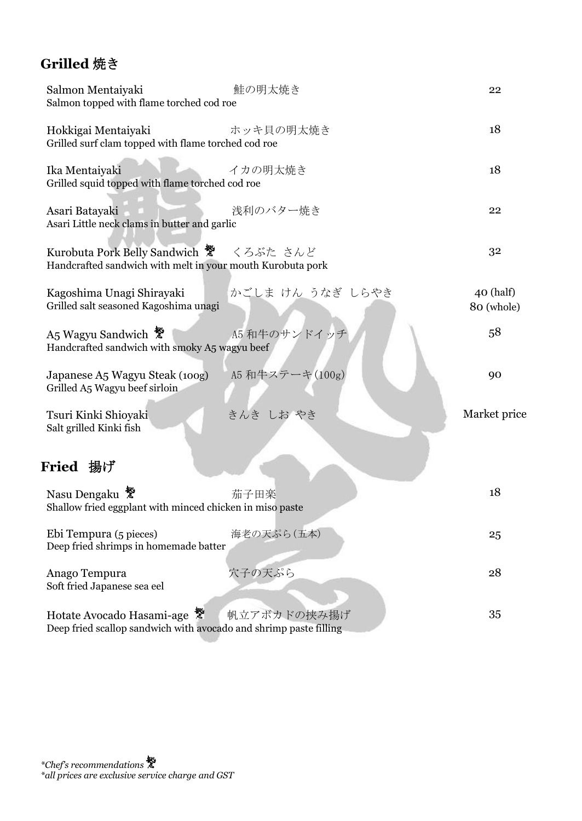## **Grilled** 焼き

| 鮭の明太焼き<br>Salmon Mentaiyaki<br>Salmon topped with flame torched cod roe                                       | 22                        |
|---------------------------------------------------------------------------------------------------------------|---------------------------|
| Hokkigai Mentaiyaki<br>ホッキ貝の明太焼き<br>Grilled surf clam topped with flame torched cod roe                       | 18                        |
| イカの明太焼き<br>Ika Mentaiyaki<br>Grilled squid topped with flame torched cod roe                                  | 18                        |
| 浅利のバター焼き<br>Asari Batayaki<br>Asari Little neck clams in butter and garlic                                    | 22                        |
| Kurobuta Pork Belly Sandwich ※ くろぶた さんど<br>Handcrafted sandwich with melt in your mouth Kurobuta pork         | 32                        |
| かごしま けん うなぎ しらやき<br>Kagoshima Unagi Shirayaki<br>Grilled salt seasoned Kagoshima unagi                        | $40$ (half)<br>80 (whole) |
| A5 和牛のサンドイッチ<br>A5 Wagyu Sandwich <sup>赞</sup><br>Handcrafted sandwich with smoky A5 wagyu beef               | 58                        |
| A5 和牛ステーキ(100g)<br>Japanese A5 Wagyu Steak (100g)<br>Grilled A5 Wagyu beef sirloin                            | 90                        |
| きんき しお やき<br>Tsuri Kinki Shioyaki<br>Salt grilled Kinki fish                                                  | Market price              |
| Fried 揚げ                                                                                                      |                           |
| Nasu Dengaku<br>茄子田楽<br>Shallow fried eggplant with minced chicken in miso paste                              | 18                        |
| Ebi Tempura (5 pieces)<br>海老の天ぷら(五本)<br>Deep fried shrimps in homemade batter                                 | 25                        |
| 穴子の天ぷら<br>Anago Tempura<br>Soft fried Japanese sea eel                                                        | 28                        |
| Hotate Avocado Hasami-age<br>帆立アボカドの挟み揚げ<br>Deep fried scallop sandwich with avocado and shrimp paste filling | 35                        |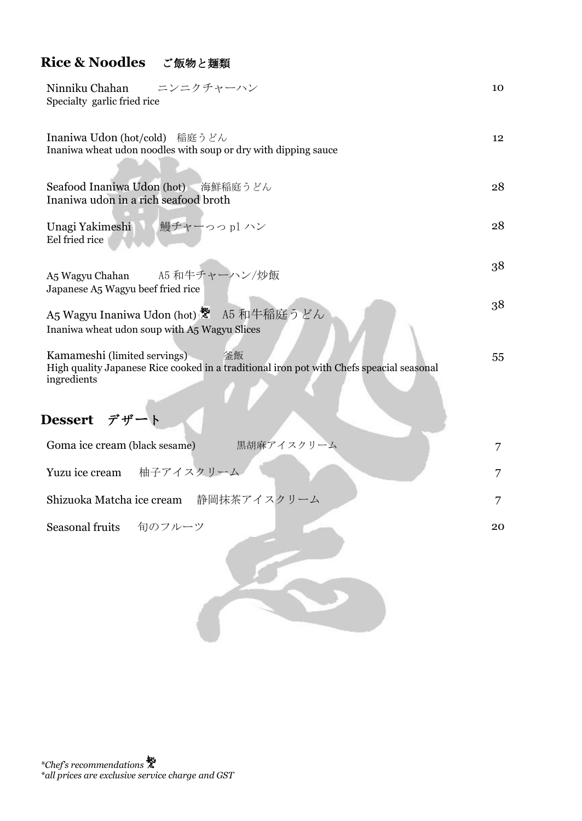### **Rice & Noodles** ご飯物と麺類

| Ninniku Chahan<br>ニンニクチャーハン<br>Specialty garlic fried rice                                                                                                             | 10 |
|------------------------------------------------------------------------------------------------------------------------------------------------------------------------|----|
| Inaniwa Udon (hot/cold) 稲庭うどん<br>Inaniwa wheat udon noodles with soup or dry with dipping sauce                                                                        | 12 |
| Seafood Inaniwa Udon (hot) 海鮮稲庭うどん<br>Inaniwa udon in a rich seafood broth                                                                                             | 28 |
| Unagi Yakimeshi 鰻チャーっっ pl ハン<br>Eel fried rice                                                                                                                         | 28 |
| A5 和牛チャーハン/炒飯<br>A5 Wagyu Chahan<br>Japanese A5 Wagyu beef fried rice                                                                                                  | 38 |
| A5 Wagyu Inaniwa Udon (hot) ※ A5 和牛稲庭うどん<br>Inaniwa wheat udon soup with A5 Wagyu Slices                                                                               | 38 |
| Kamameshi (limited servings)<br>釜飯<br>High quality Japanese Rice cooked in a traditional iron pot with Chefs speacial seasonal<br>ingredients<br><b>Dessert</b><br>デザー | 55 |
| Goma ice cream (black sesame)<br>黒胡麻アイスクリーム                                                                                                                            | 7  |
| 柚子アイスクリーム<br>Yuzu ice cream                                                                                                                                            | 7  |
| Shizuoka Matcha ice cream 静岡抹茶アイスクリーム                                                                                                                                  | 7  |
| Seasonal fruits<br>旬のフルーツ                                                                                                                                              | 20 |
|                                                                                                                                                                        |    |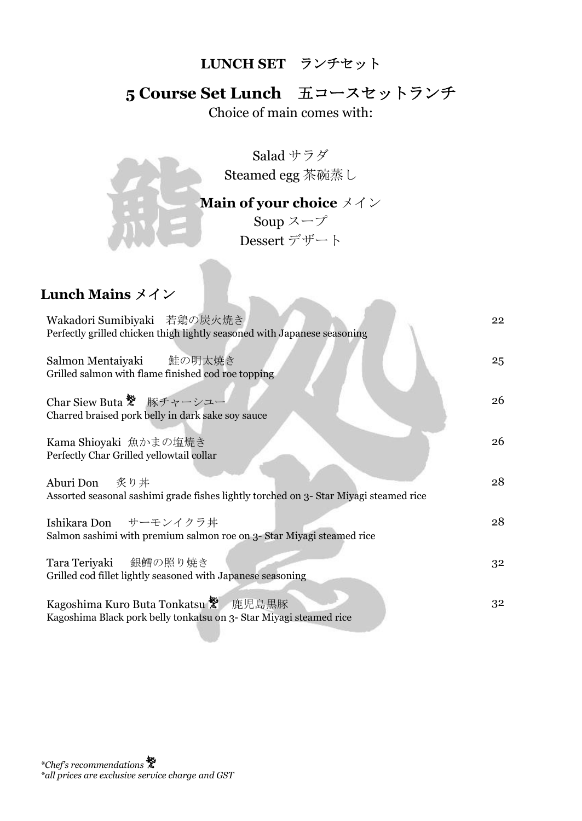#### **LUNCH SET** ランチセット

## **5 Course Set Lunch** 五コースセットランチ

Choice of main comes with:

Salad サラダ Steamed egg 茶碗蒸し

### **Main of your choice** メイン

Soup  $z - \tau$ Dessert デザート

## **Lunch Mains** メイン

| Wakadori Sumibiyaki 若鶏の炭火焼き<br>Perfectly grilled chicken thigh lightly seasoned with Japanese seasoning    | 22 |
|------------------------------------------------------------------------------------------------------------|----|
| Salmon Mentaiyaki 鮭の明太焼き<br>Grilled salmon with flame finished cod roe topping                             | 25 |
| Char Siew Buta ※ 豚チャーシュー<br>Charred braised pork belly in dark sake soy sauce                              | 26 |
| Kama Shioyaki 魚かまの塩焼き<br>Perfectly Char Grilled yellowtail collar                                          | 26 |
| Aburi Don 炙り丼<br>Assorted seasonal sashimi grade fishes lightly torched on 3- Star Miyagi steamed rice     | 28 |
| Ishikara Don サーモンイクラ丼<br>Salmon sashimi with premium salmon roe on 3- Star Miyagi steamed rice             | 28 |
| Tara Teriyaki 銀鱈の照り焼き<br>Grilled cod fillet lightly seasoned with Japanese seasoning                       | 32 |
| Kagoshima Kuro Buta Tonkatsu ※ 鹿児島黒豚<br>Kagoshima Black pork belly tonkatsu on 3- Star Miyagi steamed rice | 32 |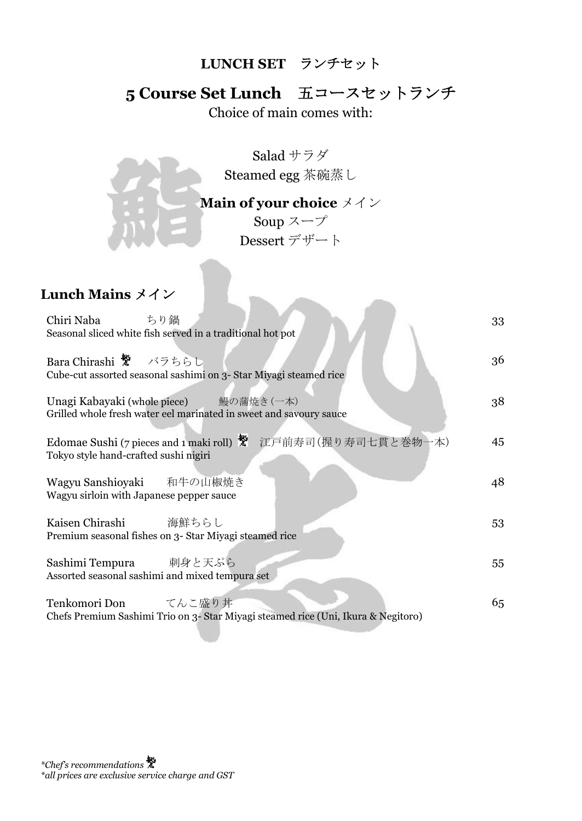#### **LUNCH SET** ランチセット

## **5 Course Set Lunch** 五コースセットランチ

Choice of main comes with:

Salad サラダ Steamed egg 茶碗蒸し

### **Main of your choice** メイン

Soup  $z - \tau$ Dessert デザート

## **Lunch Mains** メイン

| Chiri Naba ちり鍋<br>Seasonal sliced white fish served in a traditional hot pot                                 | 33 |
|--------------------------------------------------------------------------------------------------------------|----|
| Bara Chirashi <sup></sup> グラちらし<br>Cube-cut assorted seasonal sashimi on 3- Star Miyagi steamed rice         | 36 |
| Unagi Kabayaki (whole piece) 鰻の蒲焼き(一本)<br>Grilled whole fresh water eel marinated in sweet and savoury sauce | 38 |
| Edomae Sushi (7 pieces and 1 maki roll) ※ 江戸前寿司(握り寿司七貫と巻物一本)<br>Tokyo style hand-crafted sushi nigiri        | 45 |
| Wagyu Sanshioyaki 和牛の山椒焼き<br>Wagyu sirloin with Japanese pepper sauce                                        | 48 |
| Kaisen Chirashi 海鮮ちらし<br>Premium seasonal fishes on 3- Star Miyagi steamed rice                              | 53 |
| Sashimi Tempura 刺身と天ぷら<br>Assorted seasonal sashimi and mixed tempura set                                    | 55 |
| Tenkomori Don てんこ盛り丼<br>Chefs Premium Sashimi Trio on 3- Star Miyagi steamed rice (Uni, Ikura & Negitoro)    | 65 |

*\*Chef's recommendations \*all prices are exclusive service charge and GST*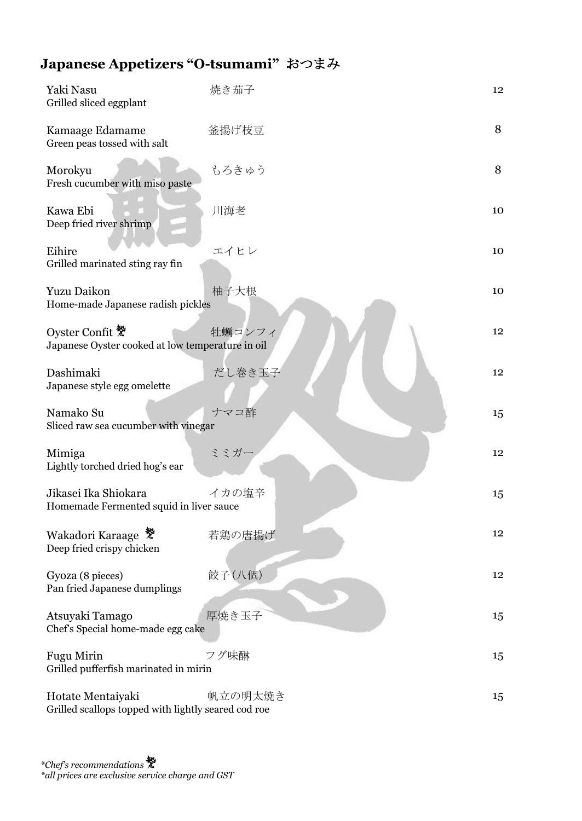## **Japanese Appetizers "O-tsumami"** おつまみ

| Yaki Nasu<br>Grilled sliced eggplant                                     | 焼き茄子    | 12              |
|--------------------------------------------------------------------------|---------|-----------------|
| Kamaage Edamame<br>Green peas tossed with salt                           | 釜揚げ枝豆   | 8               |
| Morokyu<br>Fresh cucumber with miso paste                                | もろきゅう   | 8               |
| Kawa Ebi<br>Deep fried river shrimp                                      | 川海老     | 10              |
| Eihire<br>Grilled marinated sting ray fin                                | エイヒレ    | 10              |
| Yuzu Daikon<br>Home-made Japanese radish pickles                         | 柚子大根    | 10              |
| Oyster Confit<br>Japanese Oyster cooked at low temperature in oil        | 牡蠣コンフィ  | 12              |
| Dashimaki<br>Japanese style egg omelette                                 | だし巻き玉子  | 12 <sup>°</sup> |
| Namako Su<br>Sliced raw sea cucumber with vinegar                        | ナマコ酢    | 15              |
| Mimiga<br>Lightly torched dried hog's ear                                | ミミガー    | 12              |
| Jikasei Ika Shiokara<br>Homemade Fermented squid in liver sauce          | イカの塩辛   | 15              |
| Wakadori Karaage<br>Deep fried crispy chicken                            | 若鶏の唐揚げ  | 12              |
| Gyoza (8 pieces)<br>Pan fried Japanese dumplings                         | 餃子(八個)  | $12 \,$         |
| Atsuyaki Tamago<br>Chef's Special home-made egg cake                     | 厚焼き玉子   | 15              |
| Fugu Mirin<br>Grilled pufferfish marinated in mirin                      | フグ味醂    | 15              |
| Hotate Mentaiyaki<br>Grilled scallops topped with lightly seared cod roe | 帆立の明太焼き | 15              |